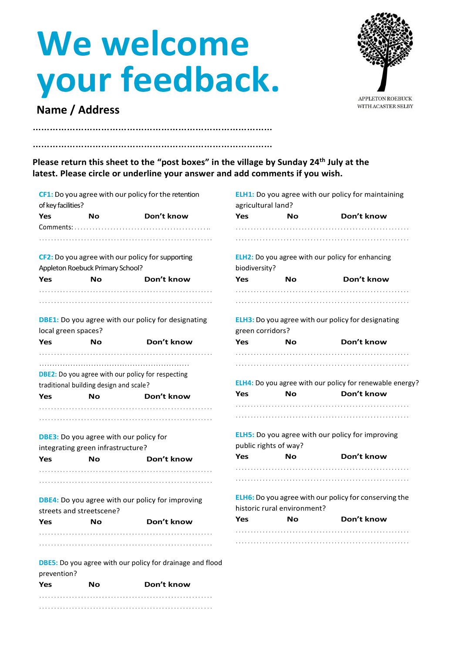## **We welcome your feedback.**

…………………………………………………………………………

. . . . . . . . . . . . . . . . . . . . . . . . . . . . . . . . . . . . . . . . . . . . . . . . . . . . . . . . . . . . . . . . . . . . . . . . . . . . . . . . . . . . . . . . . . . . . . . . . . . . . . . . . . . . . . . . . . . .



WITH ACASTER SELBY

## **Name / Address**

………………………………………………………………………… **Please return this sheet to the "post boxes" in the village by Sunday 24th July at the latest. Please circle or underline your answer and add comments if you wish.**

| of key facilities?       |                                        | CF1: Do you agree with our policy for the retention              | <b>ELH1:</b> Do you agree with our policy for maintaining<br>agricultural land?             |           |            |  |
|--------------------------|----------------------------------------|------------------------------------------------------------------|---------------------------------------------------------------------------------------------|-----------|------------|--|
| Yes                      | <b>No</b>                              | Don't know                                                       | Yes                                                                                         | No        | Don't know |  |
|                          |                                        |                                                                  |                                                                                             |           |            |  |
|                          |                                        |                                                                  |                                                                                             |           |            |  |
|                          |                                        | CF2: Do you agree with our policy for supporting                 | <b>ELH2:</b> Do you agree with our policy for enhancing                                     |           |            |  |
|                          | Appleton Roebuck Primary School?       |                                                                  | biodiversity?                                                                               |           |            |  |
| Yes                      | <b>No</b>                              | Don't know                                                       | <b>Yes</b>                                                                                  | No        | Don't know |  |
|                          |                                        |                                                                  |                                                                                             |           |            |  |
| local green spaces?      |                                        | <b>DBE1:</b> Do you agree with our policy for designating        | <b>ELH3:</b> Do you agree with our policy for designating<br>green corridors?               |           |            |  |
| Yes                      | <b>No</b>                              | Don't know                                                       | Yes                                                                                         | No        | Don't know |  |
|                          |                                        |                                                                  |                                                                                             |           |            |  |
|                          |                                        |                                                                  |                                                                                             |           |            |  |
|                          |                                        | <b>DBE2:</b> Do you agree with our policy for respecting         |                                                                                             |           |            |  |
|                          | traditional building design and scale? |                                                                  | ELH4: Do you agree with our policy for renewable energy?                                    |           |            |  |
| Yes                      | No                                     | Don't know                                                       | Yes                                                                                         | No        | Don't know |  |
|                          |                                        |                                                                  |                                                                                             |           |            |  |
|                          |                                        | <b>DBE3:</b> Do you agree with our policy for                    | ELH5: Do you agree with our policy for improving<br>public rights of way?                   |           |            |  |
|                          | integrating green infrastructure?      |                                                                  | <b>Yes</b>                                                                                  | <b>No</b> | Don't know |  |
| Yes                      | Nο                                     | Don't know                                                       |                                                                                             |           |            |  |
|                          |                                        |                                                                  |                                                                                             |           |            |  |
|                          |                                        |                                                                  |                                                                                             |           |            |  |
| streets and streetscene? |                                        | <b>DBE4:</b> Do you agree with our policy for improving          | <b>ELH6:</b> Do you agree with our policy for conserving the<br>historic rural environment? |           |            |  |
| Yes                      | Nο                                     | Don't know                                                       | Yes                                                                                         | No        | Don't know |  |
|                          |                                        |                                                                  |                                                                                             |           |            |  |
|                          |                                        |                                                                  |                                                                                             |           |            |  |
|                          |                                        | <b>DBE5:</b> Do you agree with our policy for drainage and flood |                                                                                             |           |            |  |
| prevention?              |                                        |                                                                  |                                                                                             |           |            |  |
| Yes                      | No                                     | Don't know                                                       |                                                                                             |           |            |  |